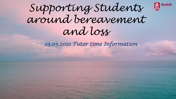

## *Supporting Students around bereavement and loss*

*25.05.2021 Tutor time Information*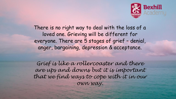

There is no right way to deal with the loss of a loved one. Grieving will be different for everyone. There are 5 stages of grief – denial, anger, bargaining, depression & acceptance.

*Grief is like a rollercoaster and there are ups and downs but it is important that we find ways to cope with it in our own way.*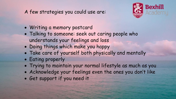## A few strategies you could use are:



- Writing a memory postcard
- Talking to someone: seek out caring people who understands your feelings and loss
- Doing things which make you happy
- Take care of yourself both physically and mentally
- Eating properly
- Trying to maintain your normal lifestyle as much as you
- Acknowledge your feelings even the ones you don't like
- Get support if you need it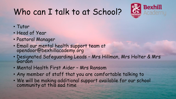## Who can I talk to at School?



- Tutor
- Head of Year
- Pastoral Manager
- Email our mental health support team at opendoor@bexhillacademy.org
- Designated Safeguarding Leads Mrs Hillman, Mrs Holter & Mrs Gordon
- Mental Health First Aider Mrs Ransom
- Any member of staff that you are comfortable talking to
- We will be making additional support available for our school community at this sad time